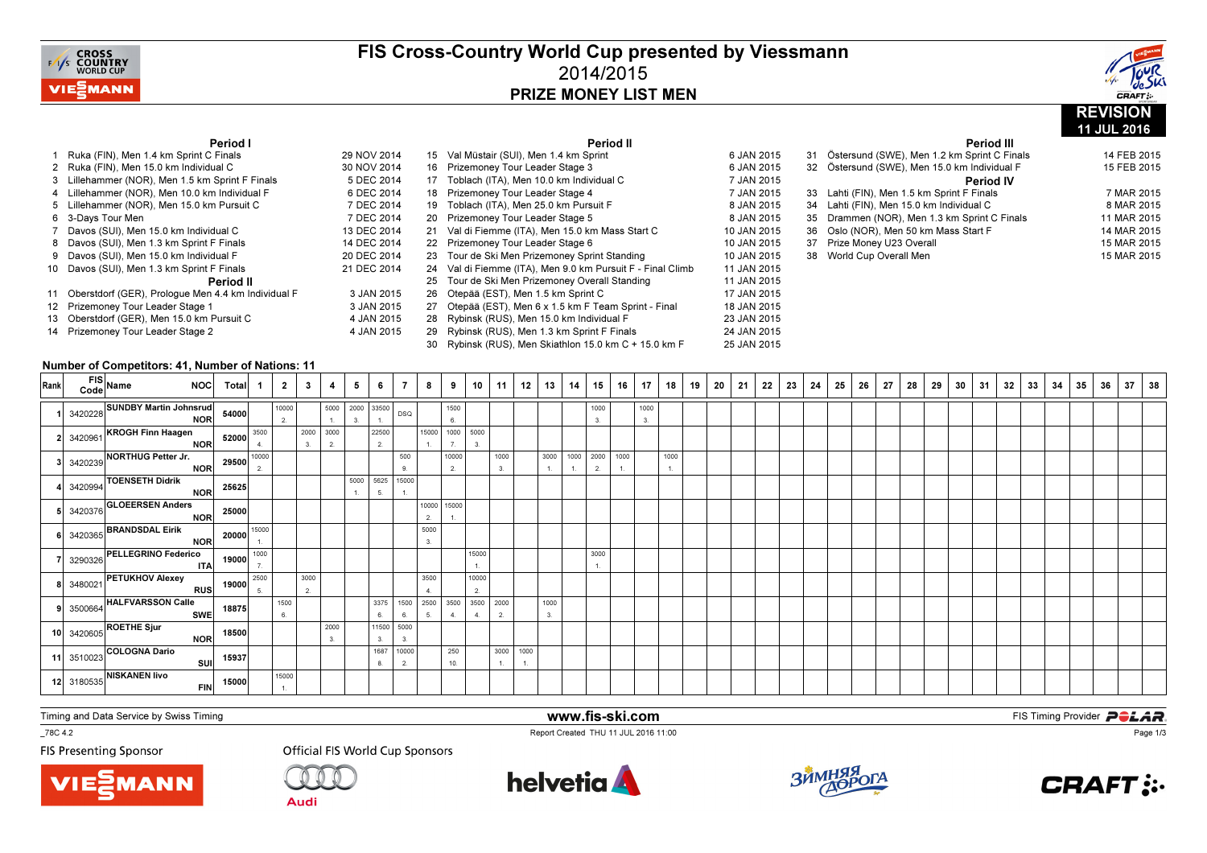

### FIS Cross-Country World Cup presented by Viessmann2014/2015PRIZE MONEY LIST MEN

Period II



11 JUL 2016

Period III

### Period I

| Ruka (FIN), Men 1.4 km Sprint C Finals                | 29 NOV 2014 | 15 Val Müstair (SUI), Men 1.4 km Sprint                    | 6 JAN 2015  | 31 | Östersund (SWE), Men 1.2 km Sprint C Finals  | 14 FEB 2015 |
|-------------------------------------------------------|-------------|------------------------------------------------------------|-------------|----|----------------------------------------------|-------------|
| 2 Ruka (FIN), Men 15.0 km Individual C                | 30 NOV 2014 | 16 Prizemoney Tour Leader Stage 3                          | 6 JAN 2015  |    | 32 Östersund (SWE), Men 15.0 km Individual F | 15 FEB 2015 |
| 3 Lillehammer (NOR), Men 1.5 km Sprint F Finals       | 5 DEC 2014  | 17 Toblach (ITA), Men 10.0 km Individual C                 | 7 JAN 2015  |    | Period IV                                    |             |
| 4 Lillehammer (NOR). Men 10.0 km Individual F         | 6 DEC 2014  | 18 Prizemoney Tour Leader Stage 4                          | 7 JAN 2015  |    | 33 Lahti (FIN). Men 1.5 km Sprint F Finals   | 7 MAR 2015  |
| 5 Lillehammer (NOR), Men 15.0 km Pursuit C            | 7 DEC 2014  | 19 Toblach (ITA), Men 25.0 km Pursuit F                    | 8 JAN 2015  |    | 34 Lahti (FIN), Men 15.0 km Individual C     | 8 MAR 2015  |
| 6 3-Davs Tour Men                                     | 7 DEC 2014  | 20 Prizemoney Tour Leader Stage 5                          | 8 JAN 2015  |    | 35 Drammen (NOR), Men 1.3 km Sprint C Finals | 11 MAR 2015 |
| 7 Davos (SUI), Men 15.0 km Individual C               | 13 DEC 2014 | 21 Val di Fiemme (ITA), Men 15.0 km Mass Start C           | 10 JAN 2015 |    | 36 Oslo (NOR), Men 50 km Mass Start F        | 14 MAR 2015 |
| 8 Davos (SUI), Men 1.3 km Sprint F Finals             | 14 DEC 2014 | 22 Prizemonev Tour Leader Stage 6                          | 10 JAN 2015 |    | 37 Prize Money U23 Overall                   | 15 MAR 2015 |
| 9 Davos (SUI), Men 15.0 km Individual F               | 20 DEC 2014 | 23 Tour de Ski Men Prizemoney Sprint Standing              | 10 JAN 2015 |    | 38 World Cup Overall Men                     | 15 MAR 2015 |
| 10 Davos (SUI), Men 1.3 km Sprint F Finals            | 21 DEC 2014 | 24 Val di Fiemme (ITA), Men 9.0 km Pursuit F - Final Climb | 11 JAN 2015 |    |                                              |             |
| Period II                                             |             | 25 Tour de Ski Men Prizemoney Overall Standing             | 11 JAN 2015 |    |                                              |             |
| 11 Oberstdorf (GER), Prologue Men 4.4 km Individual F | 3 JAN 2015  | 26 Otepää (EST), Men 1.5 km Sprint C                       | 17 JAN 2015 |    |                                              |             |
| 12 Prizemoney Tour Leader Stage 1                     | 3 JAN 2015  | 27 Otepää (EST), Men 6 x 1.5 km F Team Sprint - Final      | 18 JAN 2015 |    |                                              |             |
| 13 Oberstdorf (GER), Men 15.0 km Pursuit C            | 4 JAN 2015  | 28 Rybinsk (RUS), Men 15.0 km Individual F                 | 23 JAN 2015 |    |                                              |             |
| 14 Prizemoney Tour Leader Stage 2                     | 4 JAN 2015  | 29 Rybinsk (RUS), Men 1.3 km Sprint F Finals               | 24 JAN 2015 |    |                                              |             |
|                                                       |             | 30 Rybinsk (RUS), Men Skiathlon 15.0 km C + 15.0 km F      | 25 JAN 2015 |    |                                              |             |

#### Number of Competitors: 41, Number of Nations: 11

| Rank | FIS Name NOC Total                                                                                                                                        |           | $\overline{2}$ | $\mathbf{3}$    | 4                    | 5    | 6           | $\overline{7}$   | 8              | 9               | 10          | 11         | 12   | 13   | 14                               | 15   | 16                     | 17         | 18   | 19 | 20 | 21 | 22 | 23 | 24 | 25 | 26 | 27 | 28 | 29 | 30 | 31 | 32 | 33 | 34 | 35 | 36 | 37 | 38 |
|------|-----------------------------------------------------------------------------------------------------------------------------------------------------------|-----------|----------------|-----------------|----------------------|------|-------------|------------------|----------------|-----------------|-------------|------------|------|------|----------------------------------|------|------------------------|------------|------|----|----|----|----|----|----|----|----|----|----|----|----|----|----|----|----|----|----|----|----|
|      | 1 3420228 SUNDBY Martin Johnsrud<br>NOR                                                                                                                   | 54000     | 10000<br>2.    |                 | 5000<br>$\mathbf{L}$ | 3.   | 2000 33500  | DSQ              |                | 1500<br>6.      |             |            |      |      |                                  | 1000 |                        | 1000<br>3. |      |    |    |    |    |    |    |    |    |    |    |    |    |    |    |    |    |    |    |    |    |
|      | 2 3420961 KROGH Finn Haagen<br>NOR 52000 4.                                                                                                               |           |                | 2000 3000<br>3. | 2.                   |      | 22500<br>2. |                  |                | 15000 1000 5000 |             |            |      |      |                                  |      |                        |            |      |    |    |    |    |    |    |    |    |    |    |    |    |    |    |    |    |    |    |    |    |
|      | 3 3420239 NORTHUG Petter Jr.<br>NOR 29500 10000                                                                                                           |           |                |                 |                      |      |             | 500<br>9.        |                | 10000<br>2.     |             | 1000<br>3. |      |      | 3000 1000 2000<br>$\mathbf{1}$ . | 2.   | 1000<br>$\overline{1}$ |            | 1000 |    |    |    |    |    |    |    |    |    |    |    |    |    |    |    |    |    |    |    |    |
|      | 4 3420994 TOENSETH Didrik                                                                                                                                 | NOR 25625 |                |                 |                      | 5000 | 5625<br>5.  | 15000            |                |                 |             |            |      |      |                                  |      |                        |            |      |    |    |    |    |    |    |    |    |    |    |    |    |    |    |    |    |    |    |    |    |
|      | 5 3420376 GLOEERSEN Anders<br>NOR 25000                                                                                                                   |           |                |                 |                      |      |             |                  | $\overline{2}$ | 10000 15000     |             |            |      |      |                                  |      |                        |            |      |    |    |    |    |    |    |    |    |    |    |    |    |    |    |    |    |    |    |    |    |
|      | 6 3420365 BRANDSDAL Eirik<br>NOR 20000 15000                                                                                                              |           |                |                 |                      |      |             |                  | 5000<br>3.     |                 |             |            |      |      |                                  |      |                        |            |      |    |    |    |    |    |    |    |    |    |    |    |    |    |    |    |    |    |    |    |    |
|      | 3290326 PELLEGRINO Federico<br>ITA 19000 7                                                                                                                |           |                |                 |                      |      |             |                  |                |                 | 15000       |            |      |      |                                  | 3000 |                        |            |      |    |    |    |    |    |    |    |    |    |    |    |    |    |    |    |    |    |    |    |    |
|      | $\begin{array}{c c c c} \text{RUS} & \text{19000} & \text{2500} \\ \hline \text{RUS} & \text{19000} & \text{5.} \end{array}$<br>8 3480021 PETUKHOV Alexey |           |                | 3000<br>2.      |                      |      |             |                  | 3500           |                 | 10000<br>2. |            |      |      |                                  |      |                        |            |      |    |    |    |    |    |    |    |    |    |    |    |    |    |    |    |    |    |    |    |    |
|      | 9 3500664 HALFVARSSON Calle<br><b>SWE</b>                                                                                                                 | 18875     | 1500<br>6.     |                 |                      |      | 3375<br>6.  | 1500<br>6.       | 2500<br>5.     | 3500            | 3500        | 2000<br>2. |      | 1000 |                                  |      |                        |            |      |    |    |    |    |    |    |    |    |    |    |    |    |    |    |    |    |    |    |    |    |
|      | 10 3420605 ROETHE Sjur                                                                                                                                    | NOR 18500 |                |                 | 2000<br>3.           |      | 11500<br>3. | 5000<br>3.       |                |                 |             |            |      |      |                                  |      |                        |            |      |    |    |    |    |    |    |    |    |    |    |    |    |    |    |    |    |    |    |    |    |
|      | 11 3510023 COLOGNA Dario                                                                                                                                  | SUI 15937 |                |                 |                      |      | 8.          | 1687 10000<br>2. |                | 250<br>10.      |             | 3000       | 1000 |      |                                  |      |                        |            |      |    |    |    |    |    |    |    |    |    |    |    |    |    |    |    |    |    |    |    |    |
|      | 12 3180535 NISKANEN livo<br><b>FIN</b>                                                                                                                    | 15000     | 15000<br>1     |                 |                      |      |             |                  |                |                 |             |            |      |      |                                  |      |                        |            |      |    |    |    |    |    |    |    |    |    |    |    |    |    |    |    |    |    |    |    |    |

www.fis-ski.com

Report Created THU 11 JUL 2016 11:00

Timing and Data Service by Swiss Timing

\_78C 4.2

**FIS Presenting Sponsor** 





**Official FIS World Cup Sponsors** 





**m**<br>FIS Timing Provider<br>Is 11:00



Page 1/3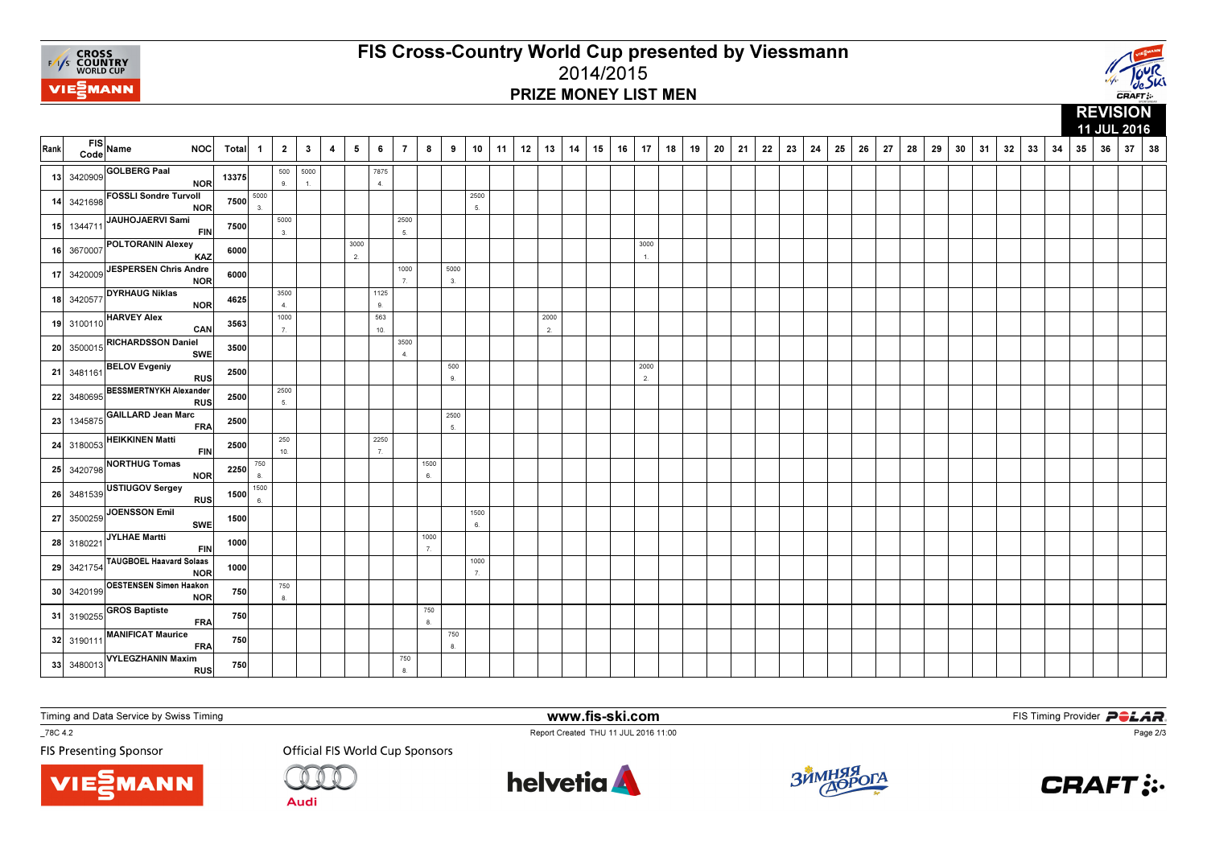

# FIS Cross-Country World Cup presented by Viessmann2014/2015PRIZE MONEY LIST MEN



|      |            |                                                                 |       |              |              |                          |   |            |            |                |            |            |            |    |    |            |    |    |    |                        |    |    |    |    |    |    |    |    |    |    |    |    |    |    |    |    |    |    |    | 11 JUL 2016 |    |
|------|------------|-----------------------------------------------------------------|-------|--------------|--------------|--------------------------|---|------------|------------|----------------|------------|------------|------------|----|----|------------|----|----|----|------------------------|----|----|----|----|----|----|----|----|----|----|----|----|----|----|----|----|----|----|----|-------------|----|
| Rank | Code       | $FIS$ Name<br><b>NOC</b>                                        | Total | $\mathbf{1}$ | $\mathbf{2}$ | $\mathbf{3}$             | 4 | $\sqrt{5}$ | 6          | $\overline{7}$ | 8          | 9          | 10         | 11 | 12 | 13         | 14 | 15 | 16 | 17                     | 18 | 19 | 20 | 21 | 22 | 23 | 24 | 25 | 26 | 27 | 28 | 29 | 30 | 31 | 32 | 33 | 34 | 35 | 36 | 37          | 38 |
|      | 13 3420909 | <b>GOLBERG Paal</b><br><b>NOR</b>                               | 13375 |              | 500<br>9.    | 5000<br>$\overline{1}$ . |   |            | 7875<br>4. |                |            |            |            |    |    |            |    |    |    |                        |    |    |    |    |    |    |    |    |    |    |    |    |    |    |    |    |    |    |    |             |    |
| 14   | 3421698    | <b>FOSSLI Sondre Turvoll</b><br><b>NOR</b>                      | 7500  | 5000<br>3.   |              |                          |   |            |            |                |            |            | 2500<br>5. |    |    |            |    |    |    |                        |    |    |    |    |    |    |    |    |    |    |    |    |    |    |    |    |    |    |    |             |    |
| 15   | 1344711    | JAUHOJAERVI Sami<br><b>FIN</b>                                  | 7500  |              | 5000<br>3.   |                          |   |            |            | 2500<br>5.     |            |            |            |    |    |            |    |    |    |                        |    |    |    |    |    |    |    |    |    |    |    |    |    |    |    |    |    |    |    |             |    |
|      | 16 3670007 | POLTORANIN Alexey<br><b>KAZ</b>                                 | 6000  |              |              |                          |   | 3000<br>2. |            |                |            |            |            |    |    |            |    |    |    | 3000<br>$\overline{1}$ |    |    |    |    |    |    |    |    |    |    |    |    |    |    |    |    |    |    |    |             |    |
| 17   | 3420009    | <b>JESPERSEN Chris Andre</b><br><b>NOR</b>                      | 6000  |              |              |                          |   |            |            | 1000<br>7.     |            | 5000<br>3. |            |    |    |            |    |    |    |                        |    |    |    |    |    |    |    |    |    |    |    |    |    |    |    |    |    |    |    |             |    |
|      | 18 3420577 | <b>DYRHAUG Niklas</b><br><b>NOR</b>                             | 4625  |              | 3500<br>4.   |                          |   |            | 1125<br>9. |                |            |            |            |    |    |            |    |    |    |                        |    |    |    |    |    |    |    |    |    |    |    |    |    |    |    |    |    |    |    |             |    |
|      | 19 3100110 | <b>HARVEY Alex</b><br>CAN                                       | 3563  |              | 1000<br>7.   |                          |   |            | 563<br>10. |                |            |            |            |    |    | 2000<br>2. |    |    |    |                        |    |    |    |    |    |    |    |    |    |    |    |    |    |    |    |    |    |    |    |             |    |
|      | 20 3500015 | <b>RICHARDSSON Daniel</b><br><b>SWE</b>                         | 3500  |              |              |                          |   |            |            | 3500<br>4.     |            |            |            |    |    |            |    |    |    |                        |    |    |    |    |    |    |    |    |    |    |    |    |    |    |    |    |    |    |    |             |    |
|      |            | $21   3481161    \overline{\text{BELOV Evgeniy}}$<br><b>RUS</b> | 2500  |              |              |                          |   |            |            |                |            | 500<br>9.  |            |    |    |            |    |    |    | 2000<br>2.             |    |    |    |    |    |    |    |    |    |    |    |    |    |    |    |    |    |    |    |             |    |
| 22   | 3480695    | <b>BESSMERTNYKH Alexander</b><br><b>RUS</b>                     | 2500  |              | 2500<br>5.   |                          |   |            |            |                |            |            |            |    |    |            |    |    |    |                        |    |    |    |    |    |    |    |    |    |    |    |    |    |    |    |    |    |    |    |             |    |
| 23   | 1345875    | <b>GAILLARD Jean Marc</b><br><b>FRA</b>                         | 2500  |              |              |                          |   |            |            |                |            | 2500<br>5. |            |    |    |            |    |    |    |                        |    |    |    |    |    |    |    |    |    |    |    |    |    |    |    |    |    |    |    |             |    |
| 24   | 3180053    | <b>HEIKKINEN Matti</b><br><b>FIN</b>                            | 2500  |              | 250<br>10.   |                          |   |            | 2250<br>7. |                |            |            |            |    |    |            |    |    |    |                        |    |    |    |    |    |    |    |    |    |    |    |    |    |    |    |    |    |    |    |             |    |
| 25   | 3420798    | NORTHUG Tomas<br><b>NOR</b>                                     | 2250  | 750<br>8.    |              |                          |   |            |            |                | 1500<br>6. |            |            |    |    |            |    |    |    |                        |    |    |    |    |    |    |    |    |    |    |    |    |    |    |    |    |    |    |    |             |    |
|      | 26 3481539 | USTIUGOV Sergey<br><b>RUS</b>                                   | 1500  | 1500<br>6.   |              |                          |   |            |            |                |            |            |            |    |    |            |    |    |    |                        |    |    |    |    |    |    |    |    |    |    |    |    |    |    |    |    |    |    |    |             |    |
|      | 27 3500259 | <b>JOENSSON Emil</b><br><b>SWE</b>                              | 1500  |              |              |                          |   |            |            |                |            |            | 1500<br>6. |    |    |            |    |    |    |                        |    |    |    |    |    |    |    |    |    |    |    |    |    |    |    |    |    |    |    |             |    |
|      | 28 3180221 | <b>JYLHAE Martti</b><br><b>FIN</b>                              | 1000  |              |              |                          |   |            |            |                | 1000<br>7. |            |            |    |    |            |    |    |    |                        |    |    |    |    |    |    |    |    |    |    |    |    |    |    |    |    |    |    |    |             |    |
|      | 29 3421754 | TAUGBOEL Haavard Solaas<br><b>NOR</b>                           | 1000  |              |              |                          |   |            |            |                |            |            | 1000<br>7. |    |    |            |    |    |    |                        |    |    |    |    |    |    |    |    |    |    |    |    |    |    |    |    |    |    |    |             |    |
|      | 30 3420199 | <b>OESTENSEN Simen Haakon</b><br><b>NOR</b>                     | 750   |              | 750<br>8.    |                          |   |            |            |                |            |            |            |    |    |            |    |    |    |                        |    |    |    |    |    |    |    |    |    |    |    |    |    |    |    |    |    |    |    |             |    |
|      | 31 3190255 | <b>GROS Baptiste</b><br><b>FRA</b>                              | 750   |              |              |                          |   |            |            |                | 750<br>8.  |            |            |    |    |            |    |    |    |                        |    |    |    |    |    |    |    |    |    |    |    |    |    |    |    |    |    |    |    |             |    |
|      | 32 3190111 | <b>MANIFICAT Maurice</b><br><b>FRA</b>                          | 750   |              |              |                          |   |            |            |                |            | 750<br>8.  |            |    |    |            |    |    |    |                        |    |    |    |    |    |    |    |    |    |    |    |    |    |    |    |    |    |    |    |             |    |
|      | 33 3480013 | <b>VYLEGZHANIN Maxim</b><br><b>RUS</b>                          | 750   |              |              |                          |   |            |            | 750<br>8.      |            |            |            |    |    |            |    |    |    |                        |    |    |    |    |    |    |    |    |    |    |    |    |    |    |    |    |    |    |    |             |    |

Timing and Data Service by Swiss Timing

MANN

\_78C 4.2

**FIS Presenting Sponsor** 

**Official FIS World Cup Sponsors** 



www.fis-ski.com

Report Created THU 11 JUL 2016 11:00



**m**<br>FIS Timing Provider<br>Is 11:00



Page 2/3

**Audi**